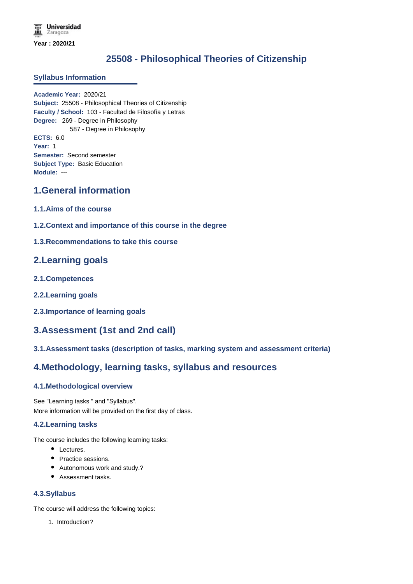# **25508 - Philosophical Theories of Citizenship**

#### **Syllabus Information**

**Academic Year:** 2020/21 **Subject:** 25508 - Philosophical Theories of Citizenship **Faculty / School:** 103 - Facultad de Filosofía y Letras **Degree:** 269 - Degree in Philosophy 587 - Degree in Philosophy **ECTS:** 6.0 **Year:** 1 **Semester:** Second semester **Subject Type:** Basic Education **Module:** ---

## **1.General information**

- **1.1.Aims of the course**
- **1.2.Context and importance of this course in the degree**
- **1.3.Recommendations to take this course**

### **2.Learning goals**

- **2.1.Competences**
- **2.2.Learning goals**
- **2.3.Importance of learning goals**

### **3.Assessment (1st and 2nd call)**

**3.1.Assessment tasks (description of tasks, marking system and assessment criteria)**

## **4.Methodology, learning tasks, syllabus and resources**

#### **4.1.Methodological overview**

See "Learning tasks " and "Syllabus". More information will be provided on the first day of class.

#### **4.2.Learning tasks**

The course includes the following learning tasks:

- Lectures.
- Practice sessions.
- Autonomous work and study.?
- Assessment tasks.

#### **4.3.Syllabus**

The course will address the following topics:

1. Introduction?